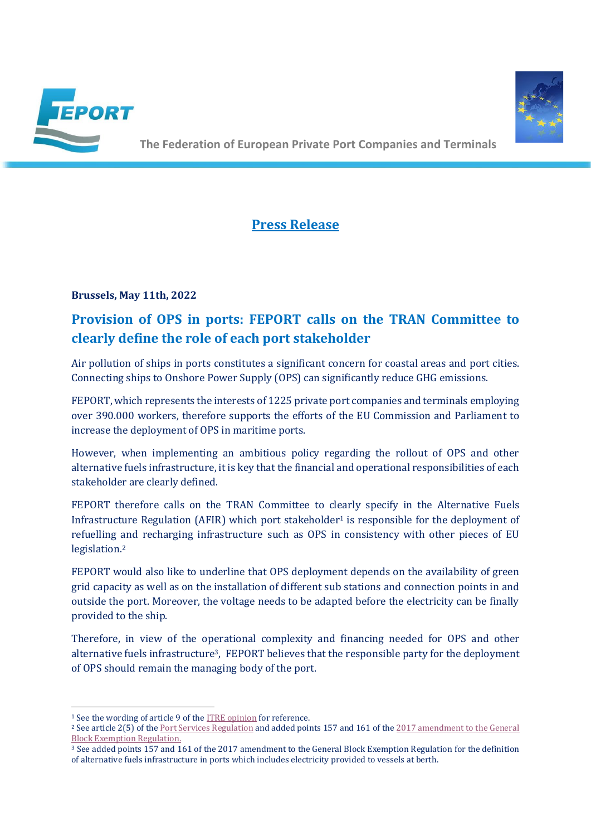



**The Federation of European Private Port Companies and Terminals** 

## **Press Release**

### **Brussels, May 11th, 2022**

# **Provision of OPS in ports: FEPORT calls on the TRAN Committee to clearly define the role of each port stakeholder**

Air pollution of ships in ports constitutes a significant concern for coastal areas and port cities. Connecting ships to Onshore Power Supply (OPS) can significantly reduce GHG emissions.

FEPORT, which represents the interests of 1225 private port companies and terminals employing over 390.000 workers, therefore supports the efforts of the EU Commission and Parliament to increase the deployment of OPS in maritime ports.

However, when implementing an ambitious policy regarding the rollout of OPS and other alternative fuels infrastructure, it is key that the financial and operational responsibilities of each stakeholder are clearly defined.

FEPORT therefore calls on the TRAN Committee to clearly specify in the Alternative Fuels Infrastructure Regulation (AFIR) which port stakeholder<sup>1</sup> is responsible for the deployment of refuelling and recharging infrastructure such as OPS in consistency with other pieces of EU legislation. 2

FEPORT would also like to underline that OPS deployment depends on the availability of green grid capacity as well as on the installation of different sub stations and connection points in and outside the port. Moreover, the voltage needs to be adapted before the electricity can be finally provided to the ship.

Therefore, in view of the operational complexity and financing needed for OPS and other alternative fuels infrastructure3, FEPORT believes that the responsible party for the deployment of OPS should remain the managing body of the port.

<sup>1</sup> See the wording of article 9 of th[e ITRE opinion](https://www.europarl.europa.eu/doceo/document/ITRE-AD-702990_EN.pdf) for reference.

<sup>2</sup> See article 2(5) of th[e Port Services Regulation](https://eur-lex.europa.eu/legal-content/EN/TXT/?uri=CELEX%3A32017R0352) and added points 157 and 161 of th[e 2017 amendment to the General](https://eur-lex.europa.eu/legal-content/EN/TXT/?qid=1497952641554&uri=CELEX:32017R1084)  [Block Exemption Regulation.](https://eur-lex.europa.eu/legal-content/EN/TXT/?qid=1497952641554&uri=CELEX:32017R1084)

<sup>3</sup> See added points 157 and 161 of the 2017 amendment to the General Block Exemption Regulation for the definition of alternative fuels infrastructure in ports which includes electricity provided to vessels at berth.